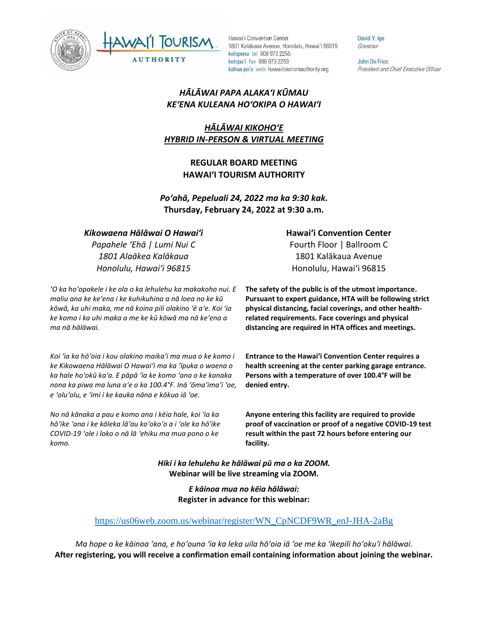



David Y. Ige Governor

**John De Fries** President and Chief Executive Officer

## *HĀLĀWAI PAPA ALAKAʻI KŪMAU KEʻENA KULEANA HOʻOKIPA O HAWAIʻI*

# *HĀLĀWAI KIKOHOʻE HYBRID IN-PERSON & VIRTUAL MEETING*

## **REGULAR BOARD MEETING HAWAI'I TOURISM AUTHORITY**

*Poʻahā, Pepeluali 24, 2022 ma ka 9:30 kak.* **Thursday, February 24, 2022 at 9:30 a.m.**

#### *Kikowaena Hālāwai O Hawaiʻi*

*Papahele ʻEhā | Lumi Nui C 1801 Alaākea Kalākaua Honolulu, Hawaiʻi 96815*

*ʻO ka hoʻopakele i ke ola o ka lehulehu ka makakoho nui. E maliu ana ke keʻena i ke kuhikuhina a nā loea no ke kū kōwā, ka uhi maka, me nā koina pili olakino ʻē aʻe. Koi ʻia ke komo i ka uhi maka a me ke kū kōwā ma nā keʻena a ma nā hālāwai.*

*Koi ʻia ka hōʻoia i kou olakino maikaʻi ma mua o ke komo i ke Kikowaena Hālāwai O Hawaiʻi ma ka ʻīpuka o waena o ka hale hoʻokū kaʻa. E pāpā ʻia ke komo ʻana o ke kanaka nona ka piwa ma luna aʻe o ka 100.4°F. Inā ʻōmaʻimaʻi ʻoe, e ʻoluʻolu, e ʻimi i ke kauka nāna e kōkua iā ʻoe.* 

*No nā kānaka a pau e komo ana i kēia hale, koi ʻia ka hōʻike ʻana i ke kāleka lāʻau koʻokoʻo a i ʻole ka hōʻike COVID-19 ʻole i loko o nā lā ʻehiku ma mua pono o ke komo.*

#### **Hawaiʻi Convention Center**

Fourth Floor | Ballroom C 1801 Kalākaua Avenue Honolulu, Hawaiʻi 96815

**The safety of the public is of the utmost importance. Pursuant to expert guidance, HTA will be following strict physical distancing, facial coverings, and other healthrelated requirements. Face coverings and physical distancing are required in HTA offices and meetings.** 

**Entrance to the Hawaiʻi Convention Center requires a health screening at the center parking garage entrance. Persons with a temperature of over 100.4°F will be denied entry.** 

**Anyone entering this facility are required to provide proof of vaccination or proof of a negative COVID-19 test result within the past 72 hours before entering our facility.**

*Hiki i ka lehulehu ke hālāwai pū ma o ka ZOOM.* **Webinar will be live streaming via ZOOM.**

> *E kāinoa mua no kēia hālāwai:* **Register in advance for this webinar:**

### [https://us06web.zoom.us/webinar/register/WN\\_CpNCDF9WR\\_enJ-JHA-2aBg](https://us06web.zoom.us/webinar/register/WN_CpNCDF9WR_enJ-JHA-2aBg)

*Ma hope o ke kāinoa ʻana, e hoʻouna ʻia ka leka uila hōʻoia iā ʻoe me ka ʻikepili hoʻokuʻi hālāwai.* **After registering, you will receive a confirmation email containing information about joining the webinar.**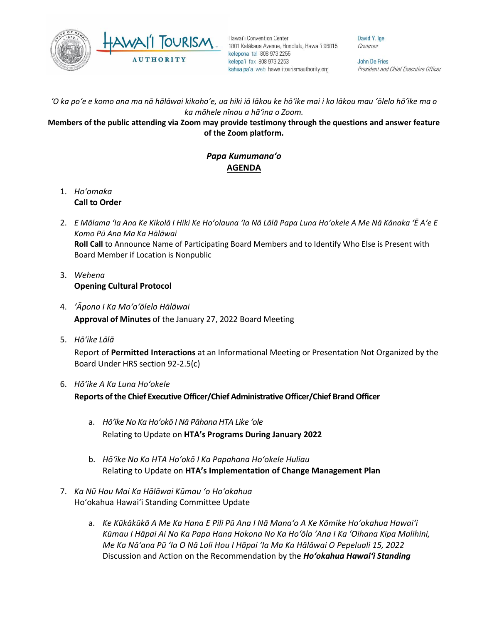

David Y. Ige Governor

John De Fries President and Chief Executive Officer

*ʻO ka poʻe e komo ana ma nā hālāwai kikohoʻe, ua hiki iā lākou ke hōʻike mai i ko lākou mau ʻōlelo hōʻike ma o ka māhele nīnau a hāʻina o Zoom.*

#### **Members of the public attending via Zoom may provide testimony through the questions and answer feature of the Zoom platform.**

# *Papa Kumumanaʻo* **AGENDA**

- 1. *Ho'omaka* **Call to Order**
- 2. *E Mālama ʻIa Ana Ke Kikolā I Hiki Ke Hoʻolauna ʻIa Nā Lālā Papa Luna Hoʻokele A Me Nā Kānaka ʻĒ Aʻe E Komo Pū Ana Ma Ka Hālāwai* **Roll Call** to Announce Name of Participating Board Members and to Identify Who Else is Present with Board Member if Location is Nonpublic
- 3. *Wehena* **Opening Cultural Protocol**
- 4. *ʻĀpono I Ka Moʻoʻōlelo Hālāwai* **Approval of Minutes** of the January 27, 2022 Board Meeting
- 5. *Hō'ike Lālā*

Report of **Permitted Interactions** at an Informational Meeting or Presentation Not Organized by the Board Under HRS section 92-2.5(c)

- 6. *Hōʻike A Ka Luna Hoʻokele* **Reports of the Chief Executive Officer/Chief Administrative Officer/Chief Brand Officer**
	- a. *Hōʻike No Ka Hoʻokō I Nā Pāhana HTA Like ʻole* Relating to Update on **HTA's Programs During January 2022**
	- b. *Hōʻike No Ko HTA Hoʻokō I Ka Papahana Hoʻokele Huliau* Relating to Update on **HTA's Implementation of Change Management Plan**
- 7. *Ka Nū Hou Mai Ka Hālāwai Kūmau ʻo Hoʻokahua* Hoʻokahua Hawai'i Standing Committee Update
	- a. *Ke Kūkākūkā A Me Ka Hana E Pili Pū Ana I Nā Manaʻo A Ke Kōmike Hoʻokahua Hawaiʻi Kūmau I Hāpai Ai No Ka Papa Hana Hokona No Ka Hoʻōla ʻAna I Ka ʻOihana Kipa Malihini, Me Ka Nāʻana Pū ʻIa O Nā Loli Hou I Hāpai ʻIa Ma Ka Hālāwai O Pepeluali 15, 2022* Discussion and Action on the Recommendation by the *Hoʻokahua Hawai'i Standing*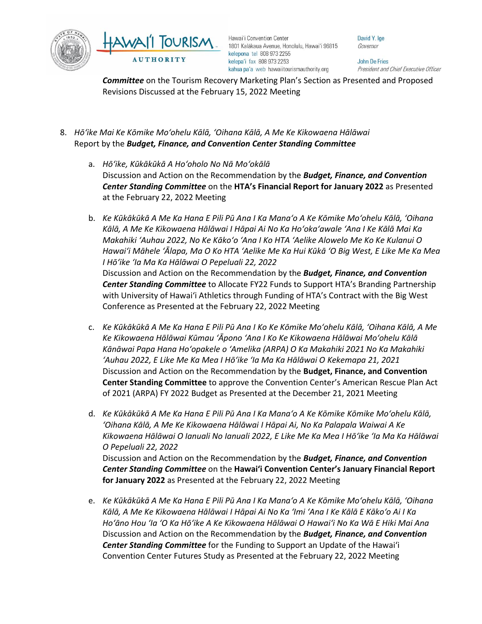

David Y. Ige Governor

**John De Fries** President and Chief Executive Officer

*Committee* on the Tourism Recovery Marketing Plan's Section as Presented and Proposed Revisions Discussed at the February 15, 2022 Meeting

- 8. *Hōʻike Mai Ke Kōmike Moʻohelu Kālā, ʻOihana Kālā, A Me Ke Kikowaena Hālāwai* Report by the *Budget, Finance, and Convention Center Standing Committee*
	- a. *Hōʻike, Kūkākūkā A Hoʻoholo No Nā Moʻokālā* Discussion and Action on the Recommendation by the *Budget, Finance, and Convention Center Standing Committee* on the **HTA's Financial Report for January 2022** as Presented at the February 22, 2022 Meeting
	- b. *Ke Kūkākūkā A Me Ka Hana E Pili Pū Ana I Ka Manaʻo A Ke Kōmike Moʻohelu Kālā, ʻOihana Kālā, A Me Ke Kikowaena Hālāwai I Hāpai Ai No Ka Hoʻokaʻawale ʻAna I Ke Kālā Mai Ka Makahiki ʻAuhau 2022, No Ke Kākoʻo ʻAna I Ko HTA ʻAelike Alowelo Me Ko Ke Kulanui O Hawaiʻi Māhele ʻĀlapa, Ma O Ko HTA ʻAelike Me Ka Hui Kūkā ʻO Big West, E Like Me Ka Mea I Hōʻike ʻIa Ma Ka Hālāwai O Pepeluali 22, 2022* Discussion and Action on the Recommendation by the *Budget, Finance, and Convention Center Standing Committee* to Allocate FY22 Funds to Support HTA's Branding Partnership with University of Hawaiʻi Athletics through Funding of HTA's Contract with the Big West Conference as Presented at the February 22, 2022 Meeting
	- c. *Ke Kūkākūkā A Me Ka Hana E Pili Pū Ana I Ko Ke Kōmike Moʻohelu Kālā, ʻOihana Kālā, A Me Ke Kikowaena Hālāwai Kūmau ʻĀpono ʻAna I Ko Ke Kikowaena Hālāwai Moʻohelu Kālā Kānāwai Papa Hana Hoʻopakele o ʻAmelika (ARPA) O Ka Makahiki 2021 No Ka Makahiki ʻAuhau 2022, E Like Me Ka Mea I Hōʻike ʻIa Ma Ka Hālāwai O Kekemapa 21, 2021* Discussion and Action on the Recommendation by the **Budget, Finance, and Convention Center Standing Committee** to approve the Convention Center's American Rescue Plan Act of 2021 (ARPA) FY 2022 Budget as Presented at the December 21, 2021 Meeting
	- d. *Ke Kūkākūkā A Me Ka Hana E Pili Pū Ana I Ka Manaʻo A Ke Kōmike Kōmike Moʻohelu Kālā, ʻOihana Kālā, A Me Ke Kikowaena Hālāwai I Hāpai Ai, No Ka Palapala Waiwai A Ke Kikowaena Hālāwai O Ianuali No Ianuali 2022, E Like Me Ka Mea I Hōʻike ʻIa Ma Ka Hālāwai O Pepeluali 22, 2022* Discussion and Action on the Recommendation by the *Budget, Finance, and Convention Center Standing Committee* on the **Hawai'i Convention Center's January Financial Report for January 2022** as Presented at the February 22, 2022 Meeting
	- e. *Ke Kūkākūkā A Me Ka Hana E Pili Pū Ana I Ka Manaʻo A Ke Kōmike Moʻohelu Kālā, ʻOihana Kālā, A Me Ke Kikowaena Hālāwai I Hāpai Ai No Ka ʻImi ʻAna I Ke Kālā E Kākoʻo Ai I Ka Hoʻāno Hou ʻIa ʻO Ka Hōʻike A Ke Kikowaena Hālāwai O Hawaiʻi No Ka Wā E Hiki Mai Ana* Discussion and Action on the Recommendation by the *Budget, Finance, and Convention Center Standing Committee* for the Funding to Support an Update of the Hawai'i Convention Center Futures Study as Presented at the February 22, 2022 Meeting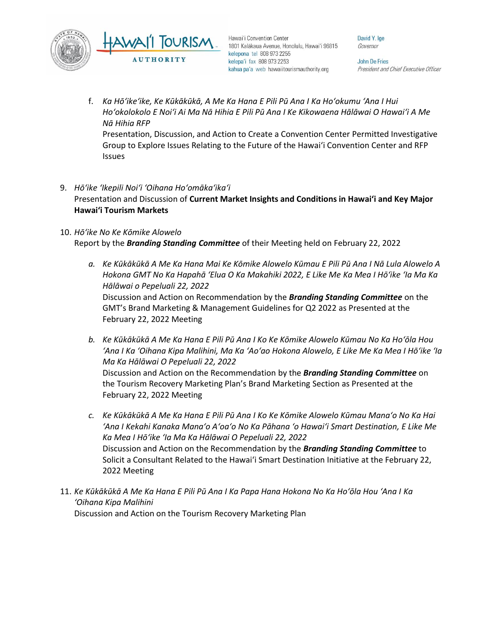

David Y. Ige Governor

John De Fries President and Chief Executive Officer

- f. *Ka Hōʻikeʻike, Ke Kūkākūkā, A Me Ka Hana E Pili Pū Ana I Ka Hoʻokumu ʻAna I Hui Hoʻokolokolo E Noiʻi Ai Ma Nā Hihia E Pili Pū Ana I Ke Kikowaena Hālāwai O Hawaiʻi A Me Nā Hihia RFP* Presentation, Discussion, and Action to Create a Convention Center Permitted Investigative Group to Explore Issues Relating to the Future of the Hawai'i Convention Center and RFP Issues
- 9. *Hōʻike ʻIkepili Noiʻi ʻOihana Hoʻomākaʻikaʻi* Presentation and Discussion of **Current Market Insights and Conditions in Hawai'i and Key Major Hawai'i Tourism Markets**
- 10. *Hōʻike No Ke Kōmike Alowelo* Report by the *Branding Standing Committee* of their Meeting held on February 22, 2022
	- *a. Ke Kūkākūkā A Me Ka Hana Mai Ke Kōmike Alowelo Kūmau E Pili Pū Ana I Nā Lula Alowelo A Hokona GMT No Ka Hapahā ʻElua O Ka Makahiki 2022, E Like Me Ka Mea I Hōʻike ʻIa Ma Ka Hālāwai o Pepeluali 22, 2022* Discussion and Action on Recommendation by the *Branding Standing Committee* on the GMT's Brand Marketing & Management Guidelines for Q2 2022 as Presented at the February 22, 2022 Meeting
	- *b. Ke Kūkākūkā A Me Ka Hana E Pili Pū Ana I Ko Ke Kōmike Alowelo Kūmau No Ka Hoʻōla Hou ʻAna I Ka ʻOihana Kipa Malihini, Ma Ka ʻAoʻao Hokona Alowelo, E Like Me Ka Mea I Hōʻike ʻIa Ma Ka Hālāwai O Pepeluali 22, 2022* Discussion and Action on the Recommendation by the *Branding Standing Committee* on the Tourism Recovery Marketing Plan's Brand Marketing Section as Presented at the February 22, 2022 Meeting
	- *c. Ke Kūkākūkā A Me Ka Hana E Pili Pū Ana I Ko Ke Kōmike Alowelo Kūmau Manaʻo No Ka Hai ʻAna I Kekahi Kanaka Manaʻo Aʻoaʻo No Ka Pāhana ʻo Hawaiʻi Smart Destination, E Like Me Ka Mea I Hōʻike ʻIa Ma Ka Hālāwai O Pepeluali 22, 2022* Discussion and Action on the Recommendation by the *Branding Standing Committee* to Solicit a Consultant Related to the Hawai'i Smart Destination Initiative at the February 22, 2022 Meeting
- 11. *Ke Kūkākūkā A Me Ka Hana E Pili Pū Ana I Ka Papa Hana Hokona No Ka Hoʻōla Hou ʻAna I Ka ʻOihana Kipa Malihini* Discussion and Action on the Tourism Recovery Marketing Plan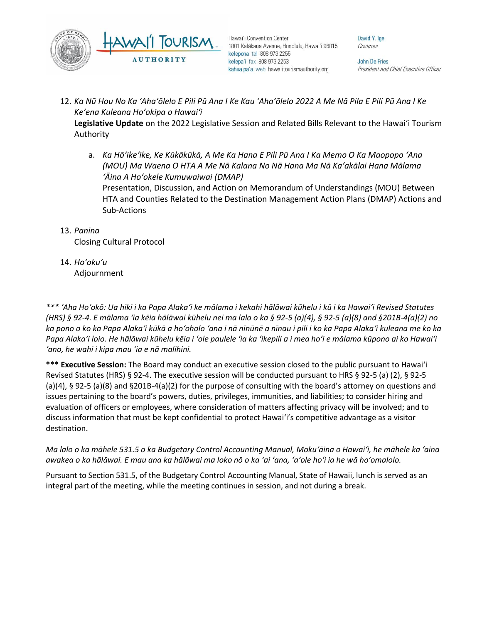

David Y. Ige Governor

**John De Fries** President and Chief Executive Officer

12. *Ka Nū Hou No Ka ʻAhaʻōlelo E Pili Pū Ana I Ke Kau ʻAhaʻōlelo 2022 A Me Nā Pila E Pili Pū Ana I Ke Keʻena Kuleana Hoʻokipa o Hawaiʻi*

**Legislative Update** on the 2022 Legislative Session and Related Bills Relevant to the Hawaiʻi Tourism Authority

a. *Ka Hōʻikeʻike, Ke Kūkākūkā, A Me Ka Hana E Pili Pū Ana I Ka Memo O Ka Maopopo ʻAna (MOU) Ma Waena O HTA A Me Nā Kalana No Nā Hana Ma Nā Kaʻakālai Hana Mālama ʻĀina A Hoʻokele Kumuwaiwai (DMAP)*

Presentation, Discussion, and Action on Memorandum of Understandings (MOU) Between HTA and Counties Related to the Destination Management Action Plans (DMAP) Actions and Sub-Actions

13. *Panina*

Closing Cultural Protocol

14. *Ho'oku'u* Adjournment

*\*\*\* ʻAha Hoʻokō: Ua hiki i ka Papa Alakaʻi ke mālama i kekahi hālāwai kūhelu i kū i ka Hawaiʻi Revised Statutes (HRS) § 92-4. E mālama ʻia kēia hālāwai kūhelu nei ma lalo o ka § 92-5 (a)(4), § 92-5 (a)(8) and §201B-4(a)(2) no ka pono o ko ka Papa Alakaʻi kūkā a hoʻoholo ʻana i nā nīnūnē a nīnau i pili i ko ka Papa Alakaʻi kuleana me ko ka Papa Alakaʻi loio. He hālāwai kūhelu kēia i ʻole paulele ʻia ka ʻikepili a i mea hoʻi e mālama kūpono ai ko Hawaiʻi ʻano, he wahi i kipa mau ʻia e nā malihini.*

**\*\*\* Executive Session:** The Board may conduct an executive session closed to the public pursuant to Hawai'i Revised Statutes (HRS) § 92-4. The executive session will be conducted pursuant to HRS § 92-5 (a) (2), § 92-5 (a)(4), § 92-5 (a)(8) and §201B-4(a)(2) for the purpose of consulting with the board's attorney on questions and issues pertaining to the board's powers, duties, privileges, immunities, and liabilities; to consider hiring and evaluation of officers or employees, where consideration of matters affecting privacy will be involved; and to discuss information that must be kept confidential to protect Hawai'i's competitive advantage as a visitor destination.

### *Ma lalo o ka māhele 531.5 o ka Budgetary Control Accounting Manual, Mokuʻāina o Hawaiʻi, he māhele ka ʻaina awakea o ka hālāwai. E mau ana ka hālāwai ma loko nō o ka ʻai ʻana, ʻaʻole hoʻi ia he wā hoʻomalolo.*

Pursuant to Section 531.5, of the Budgetary Control Accounting Manual, State of Hawaii, lunch is served as an integral part of the meeting, while the meeting continues in session, and not during a break.